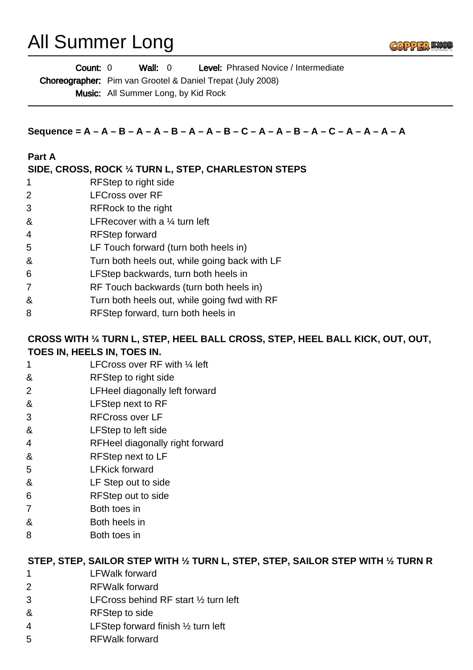# All Summer Long

**Count:** 0 **Wall:** 0 **Level:** Phrased Novice / Intermediate Choreographer: Pim van Grootel & Daniel Trepat (July 2008) Wall:  $0$ 

Music: All Summer Long, by Kid Rock

**Sequence = A – A – B – A – A – B – A – A – B – C – A – A – B – A – C – A – A – A – A**

#### **Part A**

## **SIDE, CROSS, ROCK ¼ TURN L, STEP, CHARLESTON STEPS**

- 1 RFStep to right side
- 2 LFCross over RF
- 3 RFRock to the right
- & LFRecover with a ¼ turn left
- 4 RFStep forward
- 5 LF Touch forward (turn both heels in)
- & Turn both heels out, while going back with LF
- 6 LFStep backwards, turn both heels in
- 7 RF Touch backwards (turn both heels in)
- & Turn both heels out, while going fwd with RF
- 8 RFStep forward, turn both heels in

#### **CROSS WITH ¼ TURN L, STEP, HEEL BALL CROSS, STEP, HEEL BALL KICK, OUT, OUT, TOES IN, HEELS IN, TOES IN.**

- 1 **LFCross over RF with 1/4 left**
- & RFStep to right side
- 2 LFHeel diagonally left forward
- & LFStep next to RF
- 3 RFCross over LF
- & LFStep to left side
- 4 RFHeel diagonally right forward
- & RFStep next to LF
- 5 LFKick forward
- & LF Step out to side
- 6 RFStep out to side
- 7 Both toes in
- & Both heels in
- 8 Both toes in

#### **STEP, STEP, SAILOR STEP WITH ½ TURN L, STEP, STEP, SAILOR STEP WITH ½ TURN R**

- 1 LFWalk forward
- 2 RFWalk forward
- 3 LFCross behind RF start ½ turn left
- & RFStep to side
- 4 LFStep forward finish ½ turn left
- 5 RFWalk forward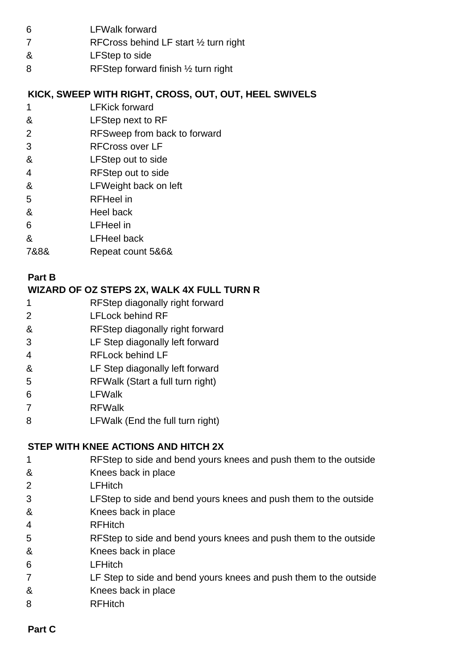- 6 LFWalk forward
- 7 RFCross behind LF start 1/2 turn right
- & LFStep to side
- 8 RFStep forward finish 1/2 turn right

## **KICK, SWEEP WITH RIGHT, CROSS, OUT, OUT, HEEL SWIVELS**

- 1 LFKick forward
- & LFStep next to RF
- 2 RFSweep from back to forward
- 3 RFCross over LF
- & LFStep out to side
- 4 RFStep out to side
- & LFWeight back on left
- 5 RFHeel in
- & Heel back
- 6 LFHeel in
- & LFHeel back
- 7&8& Repeat count 5&6&

## **Part B**

## **WIZARD OF OZ STEPS 2X, WALK 4X FULL TURN R**

- 1 RFStep diagonally right forward
- 2 LFLock behind RF
- & RFStep diagonally right forward
- 3 LF Step diagonally left forward
- 4 RFLock behind LF
- & LF Step diagonally left forward
- 5 RFWalk (Start a full turn right)
- 6 LFWalk
- 7 RFWalk
- 8 LFWalk (End the full turn right)

# **STEP WITH KNEE ACTIONS AND HITCH 2X**

- 1 RFStep to side and bend yours knees and push them to the outside
- & Knees back in place
- 2 LFHitch
- 3 LFStep to side and bend yours knees and push them to the outside
- & Knees back in place
- 4 RFHitch
- 5 RFStep to side and bend yours knees and push them to the outside
- & Knees back in place
- 6 LFHitch
- 7 LF Step to side and bend yours knees and push them to the outside
- & Knees back in place
- 8 RFHitch